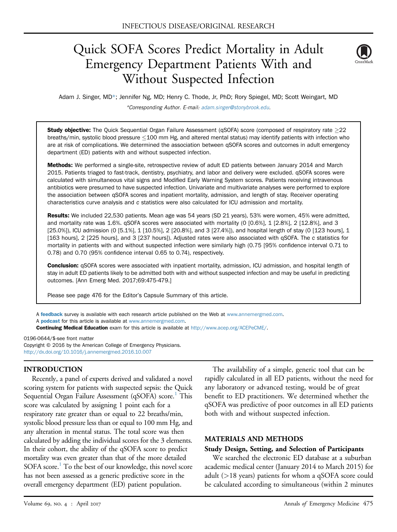# Quick SOFA Scores Predict Mortality in Adult Emergency Department Patients With and Without Suspected Infection



Adam J. Singer, MD\*; Jennifer Ng, MD; Henry C. Thode, Jr, PhD; Rory Spiegel, MD; Scott Weingart, MD \*Corresponding Author. E-mail: [adam.singer@stonybrook.edu.](mailto:adam.singer@stonybrook.edu)

Study objective: The Quick Sequential Organ Failure Assessment (qSOFA) score (composed of respiratory rate  $\geq$ 22 breaths/min, systolic blood pressure  $\leq$  100 mm Hg, and altered mental status) may identify patients with infection who are at risk of complications. We determined the association between qSOFA scores and outcomes in adult emergency department (ED) patients with and without suspected infection.

Methods: We performed a single-site, retrospective review of adult ED patients between January 2014 and March 2015. Patients triaged to fast-track, dentistry, psychiatry, and labor and delivery were excluded. qSOFA scores were calculated with simultaneous vital signs and Modified Early Warning System scores. Patients receiving intravenous antibiotics were presumed to have suspected infection. Univariate and multivariate analyses were performed to explore the association between qSOFA scores and inpatient mortality, admission, and length of stay. Receiver operating characteristics curve analysis and c statistics were also calculated for ICU admission and mortality.

Results: We included 22,530 patients. Mean age was 54 years (SD 21 years), 53% were women, 45% were admitted, and mortality rate was 1.6%. qSOFA scores were associated with mortality (0 [0.6%], 1 [2.8%], 2 [12.8%], and 3 [25.0%]), ICU admission (0 [5.1%], 1 [10.5%], 2 [20.8%], and 3 [27.4%]), and hospital length of stay (0 [123 hours], 1 [163 hours], 2 [225 hours], and 3 [237 hours]). Adjusted rates were also associated with qSOFA. The c statistics for mortality in patients with and without suspected infection were similarly high (0.75 [95% confidence interval 0.71 to 0.78) and 0.70 (95% confidence interval 0.65 to 0.74), respectively.

Conclusion: qSOFA scores were associated with inpatient mortality, admission, ICU admission, and hospital length of stay in adult ED patients likely to be admitted both with and without suspected infection and may be useful in predicting outcomes. [Ann Emerg Med. 2017;69:475-479.]

Please see page 476 for the Editor's Capsule Summary of this article.

A [feedback](https://www.surveymonkey.com/r/9RSSFFN) survey is available with each research article published on the Web at [www.annemergmed.com.](http://www.annemergmed.com) A **[podcast](http://annemergmed.com/content/podcast)** for this article is available at [www.annemergmed.com](http://www.annemergmed.com).

Continuing Medical Education exam for this article is available at <http://www.acep.org/ACEPeCME/>.

0196-0644/\$-see front matter Copyright © 2016 by the American College of Emergency Physicians. <http://dx.doi.org/10.1016/j.annemergmed.2016.10.007>

#### INTRODUCTION

Recently, a panel of experts derived and validated a novel scoring system for patients with suspected sepsis: the Quick Sequential Organ Failure Assessment (qSOFA) score.<sup>1</sup> This score was calculated by assigning 1 point each for a respiratory rate greater than or equal to 22 breaths/min, systolic blood pressure less than or equal to 100 mm Hg, and any alteration in mental status. The total score was then calculated by adding the individual scores for the 3 elements. In their cohort, the ability of the qSOFA score to predict mortality was even greater than that of the more detailed SOFA score.<sup>1</sup> To the best of our knowledge, this novel score has not been assessed as a generic predictive score in the overall emergency department (ED) patient population.

The availability of a simple, generic tool that can be rapidly calculated in all ED patients, without the need for any laboratory or advanced testing, would be of great benefit to ED practitioners. We determined whether the qSOFA was predictive of poor outcomes in all ED patients both with and without suspected infection.

#### MATERIALS AND METHODS

#### Study Design, Setting, and Selection of Participants

We searched the electronic ED database at a suburban academic medical center (January 2014 to March 2015) for adult (>18 years) patients for whom a qSOFA score could be calculated according to simultaneous (within 2 minutes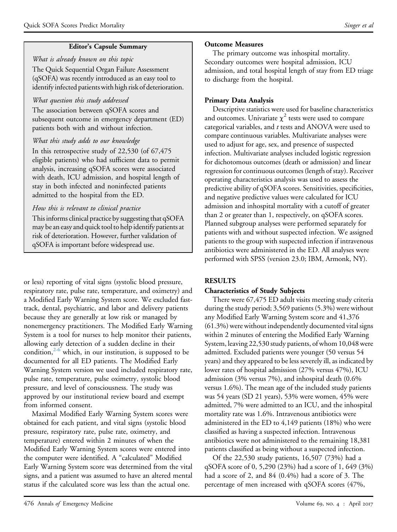## Editor's Capsule Summary

What is already known on this topic The Quick Sequential Organ Failure Assessment (qSOFA) was recently introduced as an easy tool to identify infected patients with high risk of deterioration.

### What question this study addressed

The association between qSOFA scores and subsequent outcome in emergency department (ED) patients both with and without infection.

## What this study adds to our knowledge

In this retrospective study of 22,530 (of 67,475 eligible patients) who had sufficient data to permit analysis, increasing qSOFA scores were associated with death, ICU admission, and hospital length of stay in both infected and noninfected patients admitted to the hospital from the ED.

## How this is relevant to clinical practice

This informs clinical practice by suggesting that qSOFA may be an easy and quick tool to help identify patients at risk of deterioration. However, further validation of qSOFA is important before widespread use.

or less) reporting of vital signs (systolic blood pressure, respiratory rate, pulse rate, temperature, and oximetry) and a Modified Early Warning System score. We excluded fasttrack, dental, psychiatric, and labor and delivery patients because they are generally at low risk or managed by nonemergency practitioners. The Modified Early Warning System is a tool for nurses to help monitor their patients, allowing early detection of a sudden decline in their condition, $2-6$  which, in our institution, is supposed to be documented for all ED patients. The Modified Early Warning System version we used included respiratory rate, pulse rate, temperature, pulse oximetry, systolic blood pressure, and level of consciousness. The study was approved by our institutional review board and exempt from informed consent.

Maximal Modified Early Warning System scores were obtained for each patient, and vital signs (systolic blood pressure, respiratory rate, pulse rate, oximetry, and temperature) entered within 2 minutes of when the Modified Early Warning System scores were entered into the computer were identified. A "calculated" Modified Early Warning System score was determined from the vital signs, and a patient was assumed to have an altered mental status if the calculated score was less than the actual one.

### Outcome Measures

The primary outcome was inhospital mortality. Secondary outcomes were hospital admission, ICU admission, and total hospital length of stay from ED triage to discharge from the hospital.

# Primary Data Analysis

Descriptive statistics were used for baseline characteristics and outcomes. Univariate  $\chi^2$  tests were used to compare categorical variables, and t tests and ANOVA were used to compare continuous variables. Multivariate analyses were used to adjust for age, sex, and presence of suspected infection. Multivariate analyses included logistic regression for dichotomous outcomes (death or admission) and linear regression for continuous outcomes (length of stay). Receiver operating characteristics analysis was used to assess the predictive ability of qSOFA scores. Sensitivities, specificities, and negative predictive values were calculated for ICU admission and inhospital mortality with a cutoff of greater than 2 or greater than 1, respectively, on qSOFA scores. Planned subgroup analyses were performed separately for patients with and without suspected infection. We assigned patients to the group with suspected infection if intravenous antibiotics were administered in the ED. All analyses were performed with SPSS (version 23.0; IBM, Armonk, NY).

## RESULTS

## Characteristics of Study Subjects

There were 67,475 ED adult visits meeting study criteria during the study period; 3,569 patients (5.3%) were without any Modified Early Warning System score and 41,376 (61.3%) were without independently documented vital signs within 2 minutes of entering the Modified Early Warning System, leaving 22,530 study patients, of whom 10,048 were admitted. Excluded patients were younger (50 versus 54 years) and they appeared to be less severely ill, as indicated by lower rates of hospital admission (27% versus 47%), ICU admission (3% versus 7%), and inhospital death (0.6% versus 1.6%). The mean age of the included study patients was 54 years (SD 21 years), 53% were women, 45% were admitted, 7% were admitted to an ICU, and the inhospital mortality rate was 1.6%. Intravenous antibiotics were administered in the ED to 4,149 patients (18%) who were classified as having a suspected infection. Intravenous antibiotics were not administered to the remaining 18,381 patients classified as being without a suspected infection.

Of the 22,530 study patients, 16,507 (73%) had a qSOFA score of 0, 5,290 (23%) had a score of 1, 649 (3%) had a score of 2, and 84 (0.4%) had a score of 3. The percentage of men increased with qSOFA scores (47%,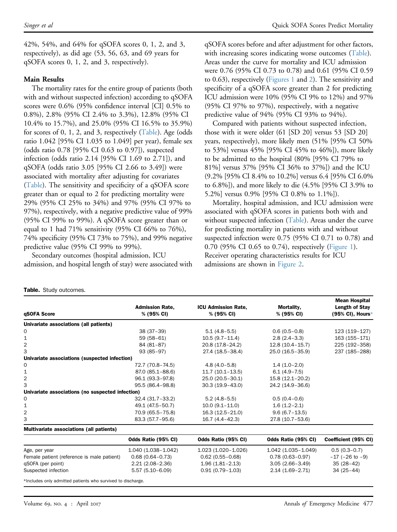42%, 54%, and 64% for qSOFA scores 0, 1, 2, and 3, respectively), as did age (53, 56, 63, and 69 years for qSOFA scores 0, 1, 2, and 3, respectively).

#### Main Results

The mortality rates for the entire group of patients (both with and without suspected infection) according to qSOFA scores were 0.6% (95% confidence interval [CI] 0.5% to 0.8%), 2.8% (95% CI 2.4% to 3.3%), 12.8% (95% CI 10.4% to 15.7%), and 25.0% (95% CI 16.5% to 35.9%) for scores of 0, 1, 2, and 3, respectively [\(Table](#page-2-0)). Age (odds ratio 1.042 [95% CI 1.035 to 1.049] per year), female sex (odds ratio 0.78 [95% CI 0.63 to 0.97]), suspected infection (odds ratio 2.14 [95% CI 1.69 to 2.71]), and qSOFA (odds ratio 3.05 [95% CI 2.66 to 3.49]) were associated with mortality after adjusting for covariates [\(Table](#page-2-0)). The sensitivity and specificity of a qSOFA score greater than or equal to 2 for predicting mortality were 29% (95% CI 25% to 34%) and 97% (95% CI 97% to 97%), respectively, with a negative predictive value of 99% (95% CI 99% to 99%). A qSOFA score greater than or equal to 1 had  $71\%$  sensitivity (95% CI 66% to  $76\%$ ), 74% specificity (95% CI 73% to 75%), and 99% negative predictive value (95% CI 99% to 99%).

Secondary outcomes (hospital admission, ICU admission, and hospital length of stay) were associated with

qSOFA scores before and after adjustment for other factors, with increasing scores indicating worse outcomes [\(Table](#page-2-0)). Areas under the curve for mortality and ICU admission were 0.76 (95% CI 0.73 to 0.78) and 0.61 (95% CI 0.59 to 0.63), respectively ([Figures 1](#page-3-0) and [2](#page-3-1)). The sensitivity and specificity of a qSOFA score greater than 2 for predicting ICU admission were 10% (95% CI 9% to 12%) and 97% (95% CI 97% to 97%), respectively, with a negative predictive value of 94% (95% CI 93% to 94%).

Compared with patients without suspected infection, those with it were older (61 [SD 20] versus 53 [SD 20] years, respectively), more likely men (51% [95% CI 50% to 53%] versus 45% [95% CI 45% to 46%]), more likely to be admitted to the hospital (80% [95% CI 79% to 81%] versus 37% [95% CI 36% to 37%]) and the ICU (9.2% [95% CI 8.4% to 10.2%] versus 6.4 [95% CI 6.0% to 6.8%]), and more likely to die (4.5% [95% CI 3.9% to 5.2%] versus 0.9% [95% CI 0.8% to 1.1%]).

Mortality, hospital admission, and ICU admission were associated with qSOFA scores in patients both with and without suspected infection  $(Table)$  $(Table)$ . Areas under the curve for predicting mortality in patients with and without suspected infection were 0.75 (95% CI 0.71 to 0.78) and 0.70 (95% CI 0.65 to 0.74), respectively [\(Figure 1](#page-3-0)). Receiver operating characteristics results for ICU admissions are shown in [Figure 2](#page-3-1).

| qSOFA Score                                      | <b>Admission Rate,</b><br>% (95% CI) | <b>ICU Admission Rate,</b><br>% (95% CI) | Mortality,<br>% (95% CI) | <b>Mean Hospital</b><br>Length of Stay<br>(95% CI), Hours* |
|--------------------------------------------------|--------------------------------------|------------------------------------------|--------------------------|------------------------------------------------------------|
| Univariate associations (all patients)           |                                      |                                          |                          |                                                            |
| 0                                                | $38(37-39)$                          | $5.1(4.8-5.5)$                           | $0.6(0.5-0.8)$           | 123 (119-127)                                              |
| 1                                                | $59(58-61)$                          | $10.5(9.7 - 11.4)$                       | $2.8(2.4-3.3)$           | 163 (155-171)                                              |
| 2                                                | 84 (81-87)                           | 20.8 (17.8-24.2)                         | $12.8(10.4-15.7)$        | 225 (192-358)                                              |
| 3                                                | $93(85-97)$                          | 27.4 (18.5-38.4)                         | 25.0 (16.5-35.9)         | 237 (185-288)                                              |
| Univariate associations (suspected infection)    |                                      |                                          |                          |                                                            |
| 0                                                | 72.7 (70.8-74.5)                     | $4.8(4.0-5.8)$                           | $1.4(1.0-2.0)$           |                                                            |
| 1                                                | 87.0 (85.1-88.6)                     | $11.7(10.1 - 13.5)$                      | $6.1(4.9 - 7.5)$         |                                                            |
| 2                                                | 96.1 (93.3-97.8)                     | 25.0 (20.5-30.1)                         | 15.8 (12.1-20.2)         |                                                            |
| 3                                                | 95.5 (86.4-98.8)                     | $30.3(19.9 - 43.0)$                      | 24.2 (14.9-36.6)         |                                                            |
| Univariate associations (no suspected infection) |                                      |                                          |                          |                                                            |
| 0                                                | $32.4(31.7-33.2)$                    | $5.2(4.8-5.5)$                           | $0.5(0.4-0.6)$           |                                                            |
| 1                                                | 49.1 (47.5-50.7)                     | $10.0 (9.1 - 11.0)$                      | $1.6(1.2-2.1)$           |                                                            |
| 2                                                | 70.9 (65.5-75.8)                     | $16.3(12.5-21.0)$                        | $9.6(6.7 - 13.5)$        |                                                            |
| 3                                                | 83.3 (57.7-95.6)                     | $16.7(4.4 - 42.3)$                       | 27.8 (10.7-53.6)         |                                                            |
| Multivariate associations (all patients)         |                                      |                                          |                          |                                                            |
|                                                  | Odds Ratio (95% CI)                  | Odds Ratio (95% CI)                      | Odds Ratio (95% CI)      | Coefficient (95% CI)                                       |
| Age, per year                                    | 1.040 (1.038-1.042)                  | 1.023 (1.020-1.026)                      | 1.042 (1.035-1.049)      | $0.5(0.3-0.7)$                                             |
| Female patient (reference is male patient)       | $0.68(0.64 - 0.73)$                  | $0.62(0.55 - 0.68)$                      | $0.78(0.63 - 0.97)$      | $-17$ ( $-26$ to $-9$ )                                    |
| qSOFA (per point)                                | $2.21(2.08-2.36)$                    | $1.96(1.81 - 2.13)$                      | $3.05(2.66 - 3.49)$      | $35(28-42)$                                                |
| Suspected infection                              | $5.57(5.10-6.09)$                    | $0.91(0.79 - 1.03)$                      | $2.14(1.69 - 2.71)$      | $34(25-44)$                                                |

<span id="page-2-1"></span>\*Includes only admitted patients who survived to discharge.

<span id="page-2-0"></span>Table. Study outcomes.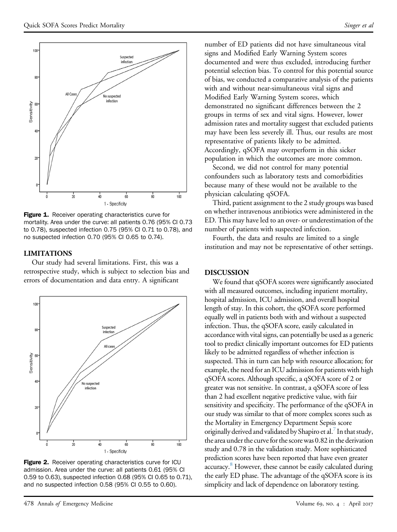<span id="page-3-0"></span>

Figure 1. Receiver operating characteristics curve for mortality. Area under the curve: all patients 0.76 (95% CI 0.73 to 0.78), suspected infection 0.75 (95% CI 0.71 to 0.78), and no suspected infection 0.70 (95% CI 0.65 to 0.74).

#### LIMITATIONS

Our study had several limitations. First, this was a retrospective study, which is subject to selection bias and errors of documentation and data entry. A significant

<span id="page-3-1"></span>

**Figure 2.** Receiver operating characteristics curve for ICU admission. Area under the curve: all patients 0.61 (95% CI 0.59 to 0.63), suspected infection 0.68 (95% CI 0.65 to 0.71), and no suspected infection 0.58 (95% CI 0.55 to 0.60).

number of ED patients did not have simultaneous vital signs and Modified Early Warning System scores documented and were thus excluded, introducing further potential selection bias. To control for this potential source of bias, we conducted a comparative analysis of the patients with and without near-simultaneous vital signs and Modified Early Warning System scores, which demonstrated no significant differences between the 2 groups in terms of sex and vital signs. However, lower admission rates and mortality suggest that excluded patients may have been less severely ill. Thus, our results are most representative of patients likely to be admitted. Accordingly, qSOFA may overperform in this sicker population in which the outcomes are more common.

Second, we did not control for many potential confounders such as laboratory tests and comorbidities because many of these would not be available to the physician calculating qSOFA.

Third, patient assignment to the 2 study groups was based on whether intravenous antibiotics were administered in the ED. This may have led to an over- or underestimation of the number of patients with suspected infection.

Fourth, the data and results are limited to a single institution and may not be representative of other settings.

#### DISCUSSION

We found that qSOFA scores were significantly associated with all measured outcomes, including inpatient mortality, hospital admission, ICU admission, and overall hospital length of stay. In this cohort, the qSOFA score performed equally well in patients both with and without a suspected infection. Thus, the qSOFA score, easily calculated in accordance with vital signs, can potentially be used as a generic tool to predict clinically important outcomes for ED patients likely to be admitted regardless of whether infection is suspected. This in turn can help with resource allocation; for example, the need for an ICU admission for patients with high qSOFA scores. Although specific, a qSOFA score of 2 or greater was not sensitive. In contrast, a qSOFA score of less than 2 had excellent negative predictive value, with fair sensitivity and specificity. The performance of the qSOFA in our study was similar to that of more complex scores such as the Mortality in Emergency Department Sepsis score originally derived and validated by Shapiro et al.<sup>7</sup> In that study, the area under the curve for the score was 0.82 in the derivation study and 0.78 in the validation study. More sophisticated prediction scores have been reported that have even greater accuracy.<sup>[8](#page-4-3)</sup> However, these cannot be easily calculated during the early ED phase. The advantage of the qSOFA score is its simplicity and lack of dependence on laboratory testing.